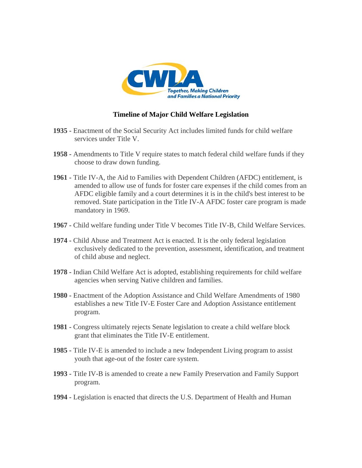

## **Timeline of Major Child Welfare Legislation**

- **1935 -** Enactment of the Social Security Act includes limited funds for child welfare services under Title V.
- **1958 -** Amendments to Title V require states to match federal child welfare funds if they choose to draw down funding.
- **1961 -** Title IV-A, the Aid to Families with Dependent Children (AFDC) entitlement, is amended to allow use of funds for foster care expenses if the child comes from an AFDC eligible family and a court determines it is in the child's best interest to be removed. State participation in the Title IV-A AFDC foster care program is made mandatory in 1969.
- **1967 -** Child welfare funding under Title V becomes Title IV-B, Child Welfare Services.
- **1974 -** Child Abuse and Treatment Act is enacted. It is the only federal legislation exclusively dedicated to the prevention, assessment, identification, and treatment of child abuse and neglect.
- **1978 -** Indian Child Welfare Act is adopted, establishing requirements for child welfare agencies when serving Native children and families.
- **1980 -** Enactment of the Adoption Assistance and Child Welfare Amendments of 1980 establishes a new Title IV-E Foster Care and Adoption Assistance entitlement program.
- **1981 -** Congress ultimately rejects Senate legislation to create a child welfare block grant that eliminates the Title IV-E entitlement.
- **1985 -** Title IV-E is amended to include a new Independent Living program to assist youth that age-out of the foster care system.
- **1993 -** Title IV-B is amended to create a new Family Preservation and Family Support program.
- **1994 -** Legislation is enacted that directs the U.S. Department of Health and Human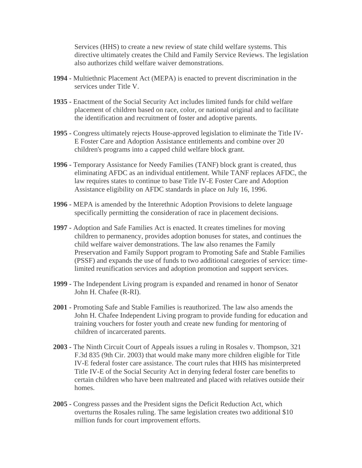Services (HHS) to create a new review of state child welfare systems. This directive ultimately creates the Child and Family Service Reviews. The legislation also authorizes child welfare waiver demonstrations.

- **1994 -** Multiethnic Placement Act (MEPA) is enacted to prevent discrimination in the services under Title V.
- **1935 -** Enactment of the Social Security Act includes limited funds for child welfare placement of children based on race, color, or national original and to facilitate the identification and recruitment of foster and adoptive parents.
- **1995 -** Congress ultimately rejects House-approved legislation to eliminate the Title IV-E Foster Care and Adoption Assistance entitlements and combine over 20 children's programs into a capped child welfare block grant.
- **1996 -** Temporary Assistance for Needy Families (TANF) block grant is created, thus eliminating AFDC as an individual entitlement. While TANF replaces AFDC, the law requires states to continue to base Title IV-E Foster Care and Adoption Assistance eligibility on AFDC standards in place on July 16, 1996.
- **1996 -** MEPA is amended by the Interethnic Adoption Provisions to delete language specifically permitting the consideration of race in placement decisions.
- **1997 -** Adoption and Safe Families Act is enacted. It creates timelines for moving children to permanency, provides adoption bonuses for states, and continues the child welfare waiver demonstrations. The law also renames the Family Preservation and Family Support program to Promoting Safe and Stable Families (PSSF) and expands the use of funds to two additional categories of service: timelimited reunification services and adoption promotion and support services.
- **1999 -** The Independent Living program is expanded and renamed in honor of Senator John H. Chafee (R-RI).
- **2001 -** Promoting Safe and Stable Families is reauthorized. The law also amends the John H. Chafee Independent Living program to provide funding for education and training vouchers for foster youth and create new funding for mentoring of children of incarcerated parents.
- **2003 -** The Ninth Circuit Court of Appeals issues a ruling in Rosales v. Thompson, 321 F.3d 835 (9th Cir. 2003) that would make many more children eligible for Title IV-E federal foster care assistance. The court rules that HHS has misinterpreted Title IV-E of the Social Security Act in denying federal foster care benefits to certain children who have been maltreated and placed with relatives outside their homes.
- **2005 -** Congress passes and the President signs the Deficit Reduction Act, which overturns the Rosales ruling. The same legislation creates two additional \$10 million funds for court improvement efforts.